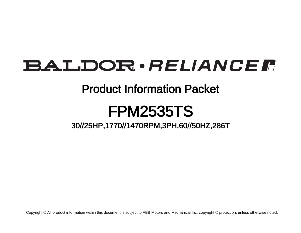# **BALDOR** · RELIANCE F

# Product Information Packet

# FPM2535TS

30//25HP,1770//1470RPM,3PH,60//50HZ,286T

Copyright © All product information within this document is subject to ABB Motors and Mechanical Inc. copyright © protection, unless otherwise noted.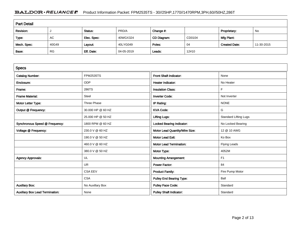# BALDOR · RELIANCE F Product Information Packet: FPM2535TS - 30//25HP,1770//1470RPM,3PH,60//50HZ,286T

| <b>Part Detail</b> |           |             |            |             |        |                      |            |  |  |
|--------------------|-----------|-------------|------------|-------------|--------|----------------------|------------|--|--|
| Revision:          |           | Status:     | PRD/A      | Change #:   |        | Proprietary:         | No         |  |  |
| Type:              | AC        | Elec. Spec: | 40WGX324   | CD Diagram: | CD0104 | Mfg Plant:           |            |  |  |
| Mech. Spec:        | 40G49     | Layout:     | 40LYG049   | Poles:      | 04     | <b>Created Date:</b> | 11-30-2015 |  |  |
| Base:              | <b>RG</b> | Eff. Date:  | 04-05-2019 | Leads:      | 12#10  |                      |            |  |  |

| <b>Specs</b>                           |                   |                                  |                              |
|----------------------------------------|-------------------|----------------------------------|------------------------------|
| <b>Catalog Number:</b>                 | <b>FPM2535TS</b>  | Front Shaft Indicator:           | None                         |
| Enclosure:                             | <b>ODP</b>        | <b>Heater Indicator:</b>         | No Heater                    |
| Frame:                                 | 286TS             | <b>Insulation Class:</b>         | F.                           |
| <b>Frame Material:</b>                 | Steel             | <b>Inverter Code:</b>            | Not Inverter                 |
| Motor Letter Type:                     | Three Phase       | IP Rating:                       | <b>NONE</b>                  |
| Output @ Frequency:                    | 30.000 HP @ 60 HZ | <b>KVA Code:</b>                 | G                            |
|                                        | 25.000 HP @ 50 HZ | <b>Lifting Lugs:</b>             | <b>Standard Lifting Lugs</b> |
| Synchronous Speed @ Frequency:         | 1800 RPM @ 60 HZ  | <b>Locked Bearing Indicator:</b> | No Locked Bearing            |
| Voltage @ Frequency:                   | 230.0 V @ 60 HZ   | Motor Lead Quantity/Wire Size:   | 12 @ 10 AWG                  |
|                                        | 190.0 V @ 50 HZ   | <b>Motor Lead Exit:</b>          | Ko Box                       |
|                                        | 460.0 V @ 60 HZ   | <b>Motor Lead Termination:</b>   | <b>Flying Leads</b>          |
|                                        | 380.0 V @ 50 HZ   | Motor Type:                      | 4052M                        |
| <b>Agency Approvals:</b>               | UL                | <b>Mounting Arrangement:</b>     | F1                           |
|                                        | <b>UR</b>         | <b>Power Factor:</b>             | 84                           |
|                                        | <b>CSA EEV</b>    | <b>Product Family:</b>           | Fire Pump Motor              |
|                                        | <b>CSA</b>        | <b>Pulley End Bearing Type:</b>  | Ball                         |
| <b>Auxillary Box:</b>                  | No Auxillary Box  | <b>Pulley Face Code:</b>         | Standard                     |
| <b>Auxillary Box Lead Termination:</b> | None              | <b>Pulley Shaft Indicator:</b>   | Standard                     |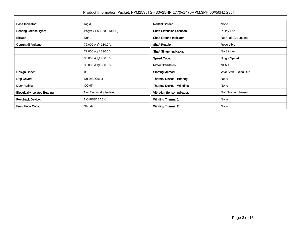| <b>Base Indicator:</b>                | Rigid                     | <b>Rodent Screen:</b>              | None                  |
|---------------------------------------|---------------------------|------------------------------------|-----------------------|
| <b>Bearing Grease Type:</b>           | Polyrex EM (-20F +300F)   | <b>Shaft Extension Location:</b>   | Pulley End            |
| Blower:                               | None                      | <b>Shaft Ground Indicator:</b>     | No Shaft Grounding    |
| Current @ Voltage:                    | 72.000 A @ 230.0 V        | <b>Shaft Rotation:</b>             | Reversible            |
|                                       | 72.000 A @ 190.0 V        | <b>Shaft Slinger Indicator:</b>    | No Slinger            |
|                                       | 36.000 A @ 460.0 V        | <b>Speed Code:</b>                 | Single Speed          |
|                                       | 36.000 A @ 380.0 V        | <b>Motor Standards:</b>            | <b>NEMA</b>           |
| Design Code:                          | B                         | <b>Starting Method:</b>            | Wye Start - Delta Run |
| Drip Cover:                           | No Drip Cover             | Thermal Device - Bearing:          | None                  |
| Duty Rating:                          | <b>CONT</b>               | <b>Thermal Device - Winding:</b>   | None                  |
| <b>Electrically Isolated Bearing:</b> | Not Electrically Isolated | <b>Vibration Sensor Indicator:</b> | No Vibration Sensor   |
| <b>Feedback Device:</b>               | NO FEEDBACK               | Winding Thermal 1:                 | None                  |
| <b>Front Face Code:</b>               | Standard                  | <b>Winding Thermal 2:</b>          | None                  |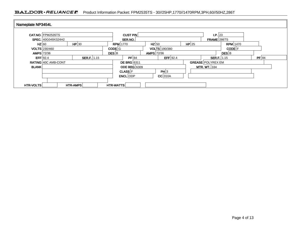## BALDOR · RELIANCE F Product Information Packet: FPM2535TS - 30//25HP,1770//1470RPM,3PH,60//50HZ,286T

|                   | CAT.NO. FPM2535TS    |                    |              | <b>CUST P/N</b>     |              |                      |          | I.P. 23                  |                     |         |
|-------------------|----------------------|--------------------|--------------|---------------------|--------------|----------------------|----------|--------------------------|---------------------|---------|
|                   | SPEC. 40G049X324H2   |                    |              | SER.NO.             |              |                      |          | FRAME 286TS              |                     |         |
| HZ 60             |                      | HP 30              |              | <b>RPM</b> 1770     | $HZ$ 50      |                      | $HP$  25 |                          | <b>RPM</b> 1470     |         |
|                   | <b>VOLTS</b> 230/460 |                    | CODE G       |                     |              | <b>VOLTS</b> 190/380 |          |                          | CODE <sup>[F]</sup> |         |
| <b>AMPS</b> 72/36 |                      |                    | <b>DES</b> B |                     | AMPS $72/36$ |                      |          |                          | $DES$ $B$           |         |
| EFF 92.4          |                      | <b>SER.F.</b> 1.15 |              | PF 84               |              | EFF 92.4             |          | <b>SER.F.</b> 1.15       |                     | $PF$ 84 |
|                   | RATING 40C AMB-CONT  |                    |              | <b>DE BRG</b> 6311  |              |                      |          | <b>GREASE POLYREX EM</b> |                     |         |
| <b>BLANK</b>      |                      |                    |              | <b>ODE BRG 6309</b> |              |                      |          | MTR. WT. $334$           |                     |         |
|                   |                      |                    |              | <b>CLASS F</b>      |              | PH 3                 |          |                          |                     |         |
|                   |                      |                    |              | ENCL ODP            |              | $CC$ 010A            |          |                          |                     |         |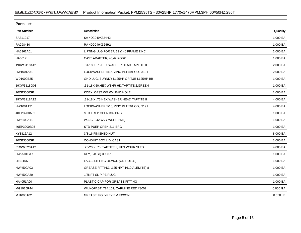| <b>Parts List</b>  |                                           |            |  |  |  |  |  |
|--------------------|-------------------------------------------|------------|--|--|--|--|--|
| <b>Part Number</b> | Description                               | Quantity   |  |  |  |  |  |
| SA311017           | SA 40G049X324H2                           | 1.000 EA   |  |  |  |  |  |
| RA298430           | RA 40G049X324H2                           | 1.000 EA   |  |  |  |  |  |
| HA6361A01          | LIFTING LUG FOR 37, 39 & 40 FRAME ZINC    | 2.000 EA   |  |  |  |  |  |
| HA6017             | CAST ADAPTER, 40,42 KOBX                  | 1.000 EA   |  |  |  |  |  |
| 19XW3118A12        | .31-18 X .75 HEX WASHER HEAD TAPTITE II   | 2.000 EA   |  |  |  |  |  |
| HW1001A31          | LOCKWASHER 5/16, ZINC PLT.591 OD, .319 I  | 2.000 EA   |  |  |  |  |  |
| WD1000B25          | GND LUG, BURNDY L125HP OR T&B L125HP-BB   | 1.000 EA   |  |  |  |  |  |
| 19XW3118G08        | .31-18X.50, HEX WSHR HD, TAPTITE 2, GREEN | 1.000 EA   |  |  |  |  |  |
| 10CB3000SP         | KOBX, CAST W/2.00 LEAD HOLE               | 1.000 EA   |  |  |  |  |  |
| 19XW3118A12        | .31-18 X .75 HEX WASHER HEAD TAPTITE II   | 4.000 EA   |  |  |  |  |  |
| HW1001A31          | LOCKWASHER 5/16, ZINC PLT.591 OD, .319 I  | 4.000 EA   |  |  |  |  |  |
| 40EP3200A02        | STD FREP OPEN 309 BRG                     | 1.000 EA   |  |  |  |  |  |
| HW5100A11          | W3917-042 WVY WSHR (WB)                   | 1.000 EA   |  |  |  |  |  |
| 40EP3200B05        | STD PUEP OPEN 311 BRG                     | 1.000 EA   |  |  |  |  |  |
| XY3816A12          | 3/8-16 FINISHED NUT                       | 8.000 EA   |  |  |  |  |  |
| 10CB3500SP         | CONDUIT BOX LID, CAST                     | 1.000 EA   |  |  |  |  |  |
| 51XW2520A12        | .25-20 X .75, TAPTITE II, HEX WSHR SLTD   | 4.000 EA   |  |  |  |  |  |
| HW2501G17          | KEY, 3/8 SQ X 1.875                       | 1.000 EA   |  |  |  |  |  |
| LB1115N            | LABEL, LIFTING DEVICE (ON ROLLS)          | 1.000 EA   |  |  |  |  |  |
| HW4500A03          | GREASE FITTING, .125 NPT 1610(ALEMITE) 8  | 1.000 EA   |  |  |  |  |  |
| HW4500A20          | 1/8NPT SL PIPE PLUG                       | 1.000 EA   |  |  |  |  |  |
| HA4051A00          | PLASTIC CAP FOR GREASE FITTING            | 1.000 EA   |  |  |  |  |  |
| MG1025R44          | WILKOFAST, 784.109, CARMINE RED #3002     | 0.050 GA   |  |  |  |  |  |
| MJ1000A02          | GREASE, POLYREX EM EXXON                  | $0.050$ LB |  |  |  |  |  |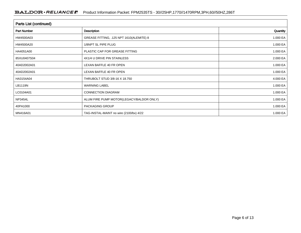| Parts List (continued) |                                          |          |
|------------------------|------------------------------------------|----------|
| <b>Part Number</b>     | Description                              | Quantity |
| HW4500A03              | GREASE FITTING, .125 NPT 1610(ALEMITE) 8 | 1.000 EA |
| HW4500A20              | 1/8NPT SL PIPE PLUG                      | 1.000 EA |
| HA4051A00              | PLASTIC CAP FOR GREASE FITTING           | 1.000 EA |
| 85XU0407S04            | 4X1/4 U DRIVE PIN STAINLESS              | 2.000 EA |
| 40AD2002A01            | LEXAN BAFFLE 40 FR OPEN                  | 1.000 EA |
| 40AD2002A01            | LEXAN BAFFLE 40 FR OPEN                  | 1.000 EA |
| HA3154A04              | THRUBOLT STUD 3/8-16 X 18.750            | 4.000 EA |
| LB1119N                | <b>WARNING LABEL</b>                     | 1.000 EA |
| LC0104A01              | <b>CONNECTION DIAGRAM</b>                | 1.000 EA |
| <b>NP3454L</b>         | ALUM FIRE PUMP MOTOR(LEGACY/BALDOR ONLY) | 1.000 EA |
| 40PA1000               | PACKAGING GROUP                          | 1.000 EA |
| MN416A01               | TAG-INSTAL-MAINT no wire (2100/bx) 4/22  | 1.000 EA |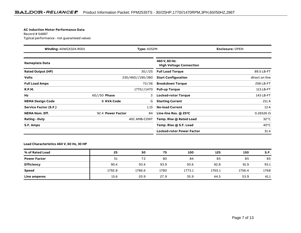#### **AC Induction Motor Performance Data**

Record # 54887Typical performance - not guaranteed values

|                              | Winding: 40WGX324-R001<br><b>Type: 4052M</b> |                  |                                                 | <b>Enclosure: OPEN</b> |
|------------------------------|----------------------------------------------|------------------|-------------------------------------------------|------------------------|
| <b>Nameplate Data</b>        |                                              |                  | 460 V, 60 Hz:<br><b>High Voltage Connection</b> |                        |
| <b>Rated Output (HP)</b>     |                                              | 30//25           | <b>Full Load Torque</b>                         | 89.5 LB-FT             |
| <b>Volts</b>                 |                                              | 230/460//190/380 | <b>Start Configuration</b>                      | direct on line         |
| <b>Full Load Amps</b>        |                                              | 72/36            | <b>Breakdown Torque</b>                         | 258 LB-FT              |
| <b>R.P.M.</b>                |                                              | 1770//1470       | <b>Pull-up Torque</b>                           | 113 LB-FT              |
| Hz                           | $60//50$ Phase                               | 3                | <b>Locked-rotor Torque</b>                      | 143 LB-FT              |
| <b>NEMA Design Code</b>      | <b>B KVA Code</b>                            | G                | <b>Starting Current</b>                         | 211 A                  |
| <b>Service Factor (S.F.)</b> |                                              | 1.15             | <b>No-load Current</b>                          | 13 A                   |
| <b>NEMA Nom. Eff.</b>        | 92.4 Power Factor                            | 84               | Line-line Res. $@$ 25 <sup>o</sup> C            | $0.26526$ $\Omega$     |
| <b>Rating - Duty</b>         |                                              | 40C AMB-CONT     | Temp. Rise @ Rated Load                         | $32^{\circ}$ C         |
| S.F. Amps                    |                                              |                  | Temp. Rise @ S.F. Load                          | $40^{\circ}$ C         |
|                              |                                              |                  | <b>Locked-rotor Power Factor</b>                | 31.4                   |

### **Load Characteristics 460 V, 60 Hz, 30 HP**

| % of Rated Load     | 25     | 50     | 75   | 100    | 125    | 150    | S.F. |
|---------------------|--------|--------|------|--------|--------|--------|------|
| <b>Power Factor</b> | 51     | 72     | 80   | 84     | 85     | 85     | 85   |
| Efficiency          | 90.4   | 93.4   | 93.9 | 93.6   | 92.8   | 91.9   | 93.1 |
| <b>Speed</b>        | 1792.8 | 1786.6 | 1780 | 1773.1 | 1765.1 | 1756.4 | 1768 |
| Line amperes        | 15.6   | 20.9   | 27.9 | 35.9   | 44.5   | 53.9   | 41.1 |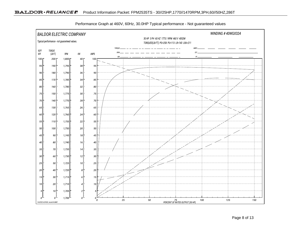

Performance Graph at 460V, 60Hz, 30.0HP Typical performance - Not guaranteed values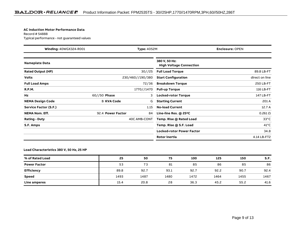#### **AC Induction Motor Performance Data**

Record # 54888Typical performance - not guaranteed values

| Winding: 40WGX324-R001   |                   | <b>Type: 4052M</b> |                                                 | <b>Enclosure: OPEN</b> |
|--------------------------|-------------------|--------------------|-------------------------------------------------|------------------------|
| <b>Nameplate Data</b>    |                   |                    | 380 V, 50 Hz:<br><b>High Voltage Connection</b> |                        |
| <b>Rated Output (HP)</b> |                   | 30//25             | <b>Full Load Torque</b>                         | 89.8 LB-FT             |
| <b>Volts</b>             |                   | 230/460//190/380   | <b>Start Configuration</b>                      | direct on line         |
| <b>Full Load Amps</b>    |                   | 72/36              | <b>Breakdown Torque</b>                         | 250 LB-FT              |
| <b>R.P.M.</b>            |                   | 1770//1470         | <b>Pull-up Torque</b>                           | 116 LB-FT              |
| Hz                       | $60//50$ Phase    | 3                  | <b>Locked-rotor Torque</b>                      | 147 LB-FT              |
| <b>NEMA Design Code</b>  | <b>B KVA Code</b> | G                  | <b>Starting Current</b>                         | 201 A                  |
| Service Factor (S.F.)    |                   | 1.15               | <b>No-load Current</b>                          | 12.7 A                 |
| <b>NEMA Nom. Eff.</b>    | 92.4 Power Factor | 84                 | Line-line Res. $@$ 25 <sup>o</sup> C            | $0.261\,\Omega$        |
| <b>Rating - Duty</b>     |                   | 40C AMB-CONT       | Temp. Rise @ Rated Load                         | $33^{\circ}$ C         |
| S.F. Amps                |                   |                    | Temp. Rise @ S.F. Load                          | $41^{\circ}$ C         |
|                          |                   |                    | <b>Locked-rotor Power Factor</b>                | 34.8                   |
|                          |                   |                    | Rotor inertia                                   | 4.14 LB-FT2            |

### **Load Characteristics 380 V, 50 Hz, 25 HP**

| % of Rated Load     | 25   | 50   | 75   | 100  | 125  | 150  | S.F. |
|---------------------|------|------|------|------|------|------|------|
| <b>Power Factor</b> | 53   | 73   | 81   | 85   | 86   | 85   | 86   |
| <b>Efficiency</b>   | 89.8 | 92.7 | 93.1 | 92.7 | 92.2 | 90.7 | 92.4 |
| <b>Speed</b>        | 1493 | 1487 | 1480 | 1472 | 1464 | 1455 | 1467 |
| Line amperes        | 15.4 | 20.8 | 28   | 36.3 | 45.2 | 55.2 | 41.6 |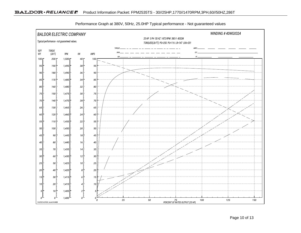

Performance Graph at 380V, 50Hz, 25.0HP Typical performance - Not guaranteed values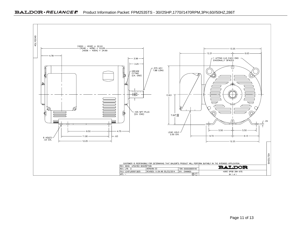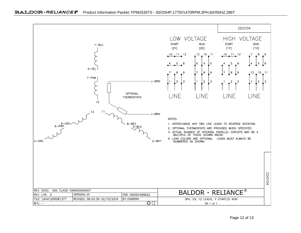